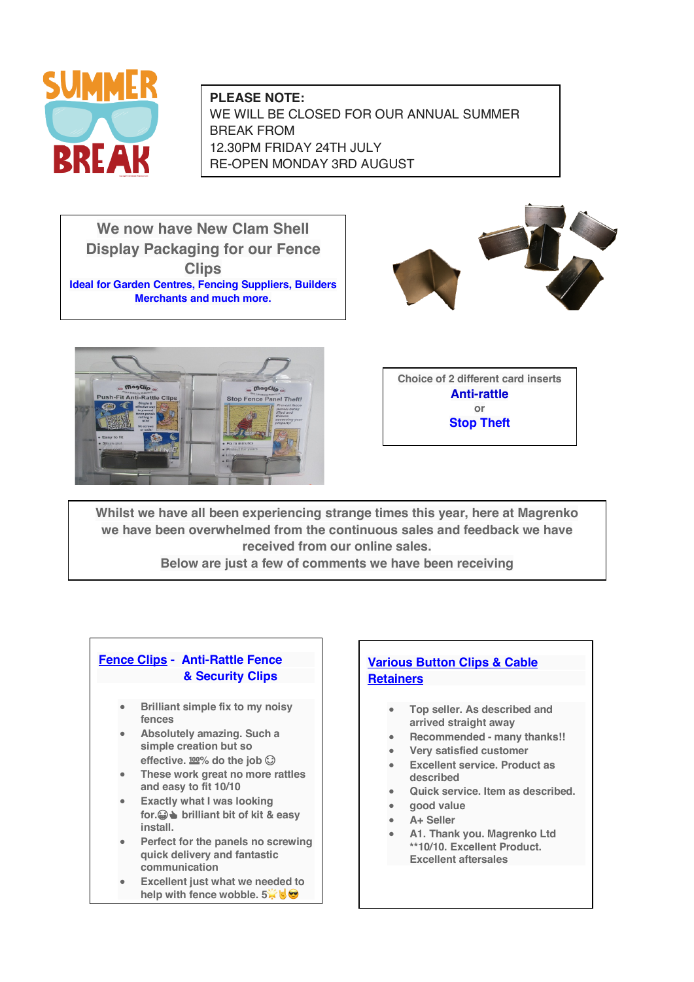

**PLEASE NOTE:** WE WILL BE CLOSED FOR OUR ANNUAL SUMMER BREAK FROM 12.30PM FRIDAY 24TH JULY RE-OPEN MONDAY 3RD AUGUST

**We now have New Clam Shell Display Packaging for our Fence Clips Ideal for Garden Centres, Fencing Suppliers, Builders Merchants and much more.**





**Choice of 2 different card inserts Anti-rattle or Stop Theft**

**Whilst we have all been experiencing strange times this year, here at Magrenko we have been overwhelmed from the continuous sales and feedback we have received from our online sales.**

**Below are just a few of comments we have been receiving**

## **Fence Clips - Anti-Rattle Fence & Security Clips**

- **Brilliant simple fix to my noisy fences**
- **Absolutely amazing. Such a simple creation but so**  effective.  $\frac{100}{6}$  do the job  $\odot$
- **These work great no more rattles and easy to fit 10/10**
- **Exactly what I was looking for. brilliant bit of kit & easy install.**
- **Perfect for the panels no screwing quick delivery and fantastic communication**
- **Excellent just what we needed to help with fence wobble. 5<sup>%</sup>**

## **Various Button Clips & Cable Retainers**

- **Top seller. As described and arrived straight away**
- **Recommended - many thanks!!**
- **Very satisfied customer**
- **Excellent service. Product as described**
- **Quick service. Item as described.**
- **good value**
- **A+ Seller**
- **A1. Thank you. Magrenko Ltd \*\*10/10. Excellent Product. Excellent aftersales**